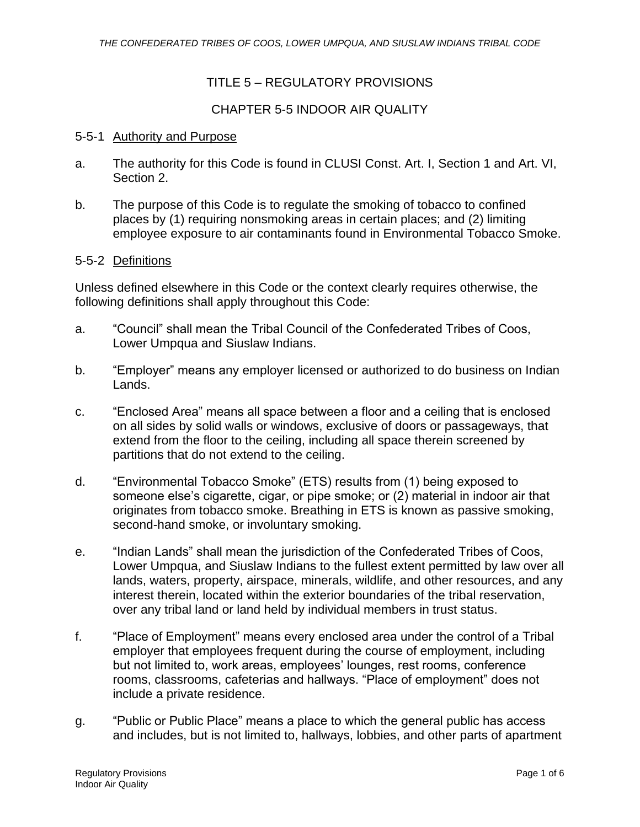## TITLE 5 – REGULATORY PROVISIONS

### CHAPTER 5-5 INDOOR AIR QUALITY

#### 5-5-1 Authority and Purpose

- a. The authority for this Code is found in CLUSI Const. Art. I, Section 1 and Art. VI, Section 2.
- b. The purpose of this Code is to regulate the smoking of tobacco to confined places by (1) requiring nonsmoking areas in certain places; and (2) limiting employee exposure to air contaminants found in Environmental Tobacco Smoke.

#### 5-5-2 Definitions

Unless defined elsewhere in this Code or the context clearly requires otherwise, the following definitions shall apply throughout this Code:

- a. "Council" shall mean the Tribal Council of the Confederated Tribes of Coos, Lower Umpqua and Siuslaw Indians.
- b. "Employer" means any employer licensed or authorized to do business on Indian Lands.
- c. "Enclosed Area" means all space between a floor and a ceiling that is enclosed on all sides by solid walls or windows, exclusive of doors or passageways, that extend from the floor to the ceiling, including all space therein screened by partitions that do not extend to the ceiling.
- d. "Environmental Tobacco Smoke" (ETS) results from (1) being exposed to someone else's cigarette, cigar, or pipe smoke; or (2) material in indoor air that originates from tobacco smoke. Breathing in ETS is known as passive smoking, second-hand smoke, or involuntary smoking.
- e. "Indian Lands" shall mean the jurisdiction of the Confederated Tribes of Coos, Lower Umpqua, and Siuslaw Indians to the fullest extent permitted by law over all lands, waters, property, airspace, minerals, wildlife, and other resources, and any interest therein, located within the exterior boundaries of the tribal reservation, over any tribal land or land held by individual members in trust status.
- f. "Place of Employment" means every enclosed area under the control of a Tribal employer that employees frequent during the course of employment, including but not limited to, work areas, employees' lounges, rest rooms, conference rooms, classrooms, cafeterias and hallways. "Place of employment" does not include a private residence.
- g. "Public or Public Place" means a place to which the general public has access and includes, but is not limited to, hallways, lobbies, and other parts of apartment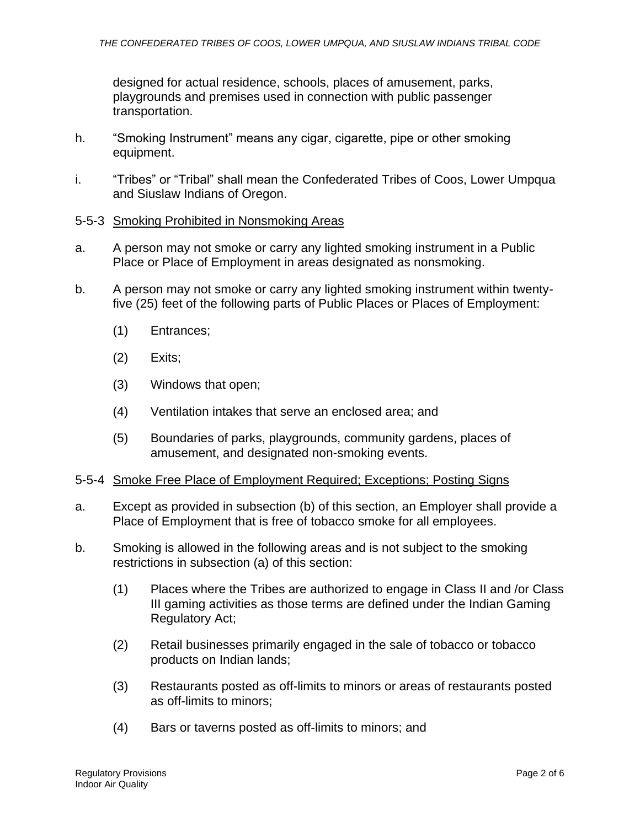designed for actual residence, schools, places of amusement, parks, playgrounds and premises used in connection with public passenger transportation.

- h. "Smoking Instrument" means any cigar, cigarette, pipe or other smoking equipment.
- i. "Tribes" or "Tribal" shall mean the Confederated Tribes of Coos, Lower Umpqua and Siuslaw Indians of Oregon.

#### 5-5-3 Smoking Prohibited in Nonsmoking Areas

- a. A person may not smoke or carry any lighted smoking instrument in a Public Place or Place of Employment in areas designated as nonsmoking.
- b. A person may not smoke or carry any lighted smoking instrument within twentyfive (25) feet of the following parts of Public Places or Places of Employment:
	- (1) Entrances;
	- (2) Exits;
	- (3) Windows that open;
	- (4) Ventilation intakes that serve an enclosed area; and
	- (5) Boundaries of parks, playgrounds, community gardens, places of amusement, and designated non-smoking events.

#### 5-5-4 Smoke Free Place of Employment Required; Exceptions; Posting Signs

- a. Except as provided in subsection (b) of this section, an Employer shall provide a Place of Employment that is free of tobacco smoke for all employees.
- b. Smoking is allowed in the following areas and is not subject to the smoking restrictions in subsection (a) of this section:
	- (1) Places where the Tribes are authorized to engage in Class II and /or Class III gaming activities as those terms are defined under the Indian Gaming Regulatory Act;
	- (2) Retail businesses primarily engaged in the sale of tobacco or tobacco products on Indian lands;
	- (3) Restaurants posted as off-limits to minors or areas of restaurants posted as off-limits to minors;
	- (4) Bars or taverns posted as off-limits to minors; and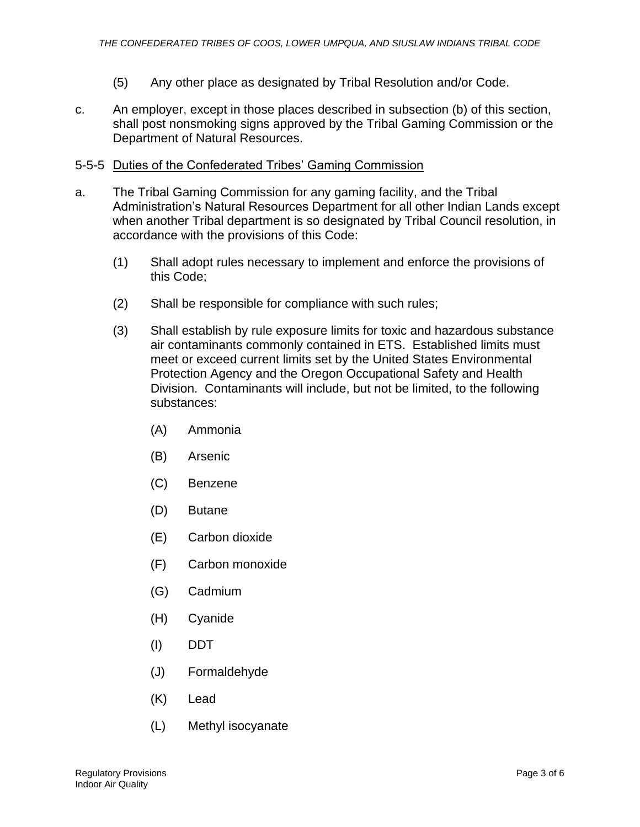- (5) Any other place as designated by Tribal Resolution and/or Code.
- c. An employer, except in those places described in subsection (b) of this section, shall post nonsmoking signs approved by the Tribal Gaming Commission or the Department of Natural Resources.

## 5-5-5 Duties of the Confederated Tribes' Gaming Commission

- a. The Tribal Gaming Commission for any gaming facility, and the Tribal Administration's Natural Resources Department for all other Indian Lands except when another Tribal department is so designated by Tribal Council resolution, in accordance with the provisions of this Code:
	- (1) Shall adopt rules necessary to implement and enforce the provisions of this Code;
	- (2) Shall be responsible for compliance with such rules;
	- (3) Shall establish by rule exposure limits for toxic and hazardous substance air contaminants commonly contained in ETS. Established limits must meet or exceed current limits set by the United States Environmental Protection Agency and the Oregon Occupational Safety and Health Division. Contaminants will include, but not be limited, to the following substances:
		- (A) Ammonia
		- (B) Arsenic
		- (C) Benzene
		- (D) Butane
		- (E) Carbon dioxide
		- (F) Carbon monoxide
		- (G) Cadmium
		- (H) Cyanide
		- (I) DDT
		- (J) Formaldehyde
		- (K) Lead
		- (L) Methyl isocyanate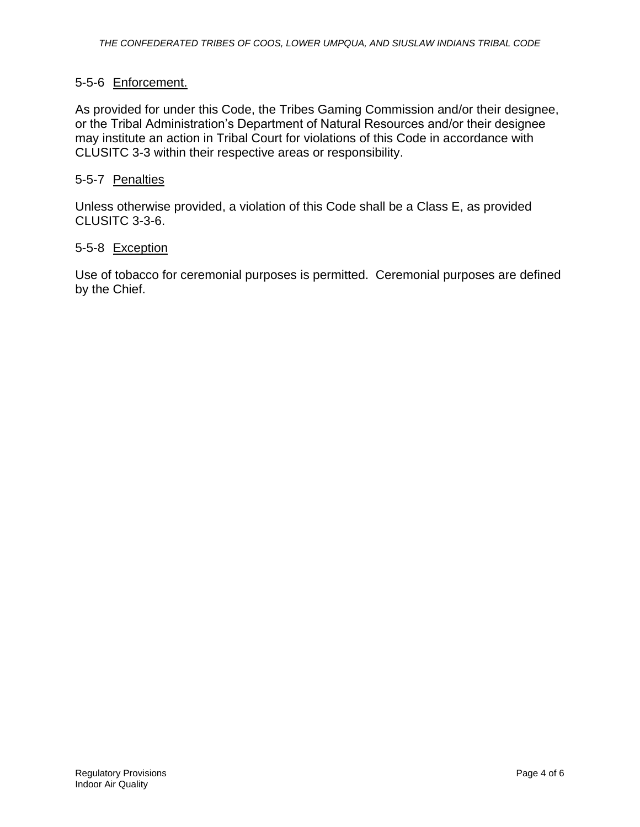#### 5-5-6 Enforcement.

As provided for under this Code, the Tribes Gaming Commission and/or their designee, or the Tribal Administration's Department of Natural Resources and/or their designee may institute an action in Tribal Court for violations of this Code in accordance with CLUSITC 3-3 within their respective areas or responsibility.

#### 5-5-7 Penalties

Unless otherwise provided, a violation of this Code shall be a Class E, as provided CLUSITC 3-3-6.

#### 5-5-8 Exception

Use of tobacco for ceremonial purposes is permitted. Ceremonial purposes are defined by the Chief.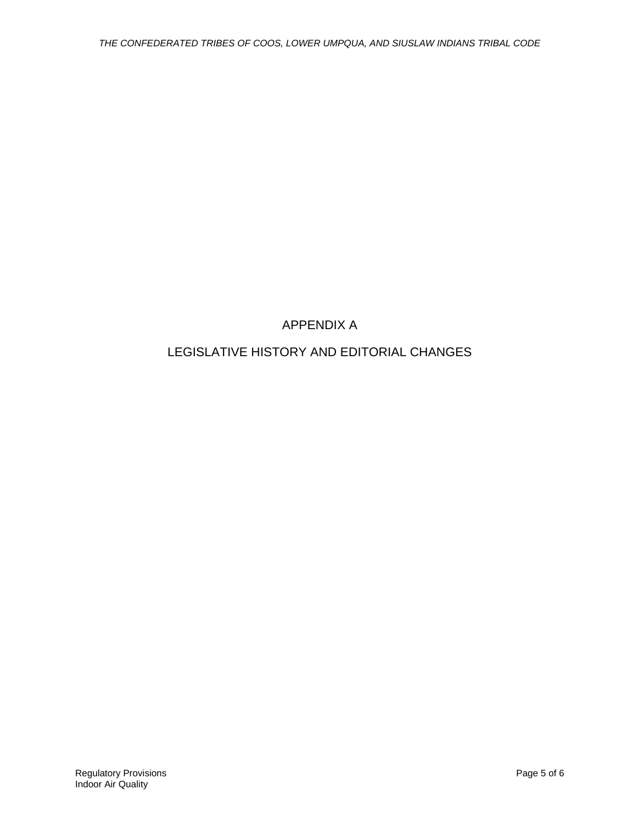# APPENDIX A

## LEGISLATIVE HISTORY AND EDITORIAL CHANGES